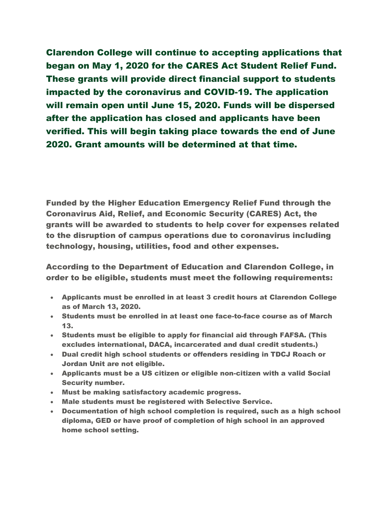Clarendon College will continue to accepting applications that began on May 1, 2020 for the CARES Act Student Relief Fund. These grants will provide direct financial support to students impacted by the coronavirus and COVID-19. The application will remain open until June 15, 2020. Funds will be dispersed after the application has closed and applicants have been verified. This will begin taking place towards the end of June 2020. Grant amounts will be determined at that time.

Funded by the Higher Education Emergency Relief Fund through the Coronavirus Aid, Relief, and Economic Security (CARES) Act, the grants will be awarded to students to help cover for expenses related to the disruption of campus operations due to coronavirus including technology, housing, utilities, food and other expenses.

According to the Department of Education and Clarendon College, in order to be eligible, students must meet the following requirements:

- Applicants must be enrolled in at least 3 credit hours at Clarendon College as of March 13, 2020.
- Students must be enrolled in at least one face-to-face course as of March 13.
- Students must be eligible to apply for financial aid through FAFSA. (This excludes international, DACA, incarcerated and dual credit students.)
- Dual credit high school students or offenders residing in TDCJ Roach or Jordan Unit are not eligible.
- Applicants must be a US citizen or eligible non-citizen with a valid Social Security number.
- Must be making satisfactory academic progress.
- Male students must be registered with Selective Service.
- Documentation of high school completion is required, such as a high school diploma, GED or have proof of completion of high school in an approved home school setting.